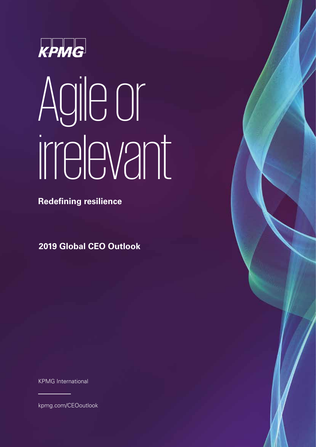

# Agile or irrelevant

**Redefining resilience**

**2019 Global CEO Outlook**

KPMG International

[kpmg.com/CEOoutlook](http://www.kpmg.com/ceooutlook)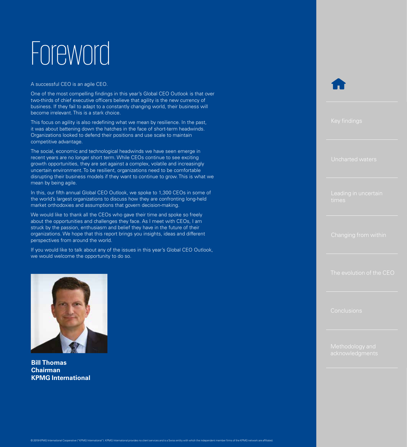## Foreword<sup>1</sup>

A successful CEO is an agile CEO.

One of the most compelling findings in this year's Global CEO Outlook is that over two-thirds of chief executive officers believe that agility is the new currency of business. If they fail to adapt to a constantly changing world, their business will become irrelevant. This is a stark choice.

This focus on agility is also redefining what we mean by resilience. In the past, it was about battening down the hatches in the face of short-term headwinds. Organizations looked to defend their positions and use scale to maintain competitive advantage.

The social, economic and technological headwinds we have seen emerge in recent years are no longer short term. While CEOs continue to see exciting growth opportunities, they are set against a complex, volatile and increasingly uncertain environment. To be resilient, organizations need to be comfortable disrupting their business models if they want to continue to grow. This is what we mean by being agile.

In this, our fifth annual Global CEO Outlook, we spoke to 1,300 CEOs in some of the world's largest organizations to discuss how they are confronting long-held market orthodoxies and assumptions that govern decision-making.

We would like to thank all the CEOs who gave their time and spoke so freely about the opportunities and challenges they face. As I meet with CEOs, I am struck by the passion, enthusiasm and belief they have in the future of their organizations. We hope that this report brings you insights, ideas and different perspectives from around the world.

If you would like to talk about any of the issues in this year's Global CEO Outlook, we would welcome the opportunity to do so.



**Bill Thomas Chairman KPMG International**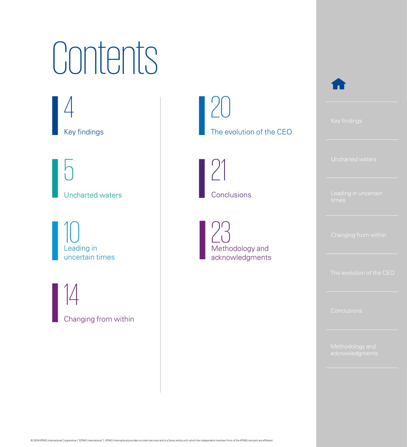## Contents

Key findings [4](#page-3-0)

[Uncharted waters](#page-4-0)  $\mathbf{C}$ 

Leading in uncertain times [10](#page-9-0)

[Changing from within](#page-13-0) 14

The evolution of the CEO [20](#page-19-0)

Conclusions [21](#page-20-0)

Methodology and acknowledgments [23](#page-22-0)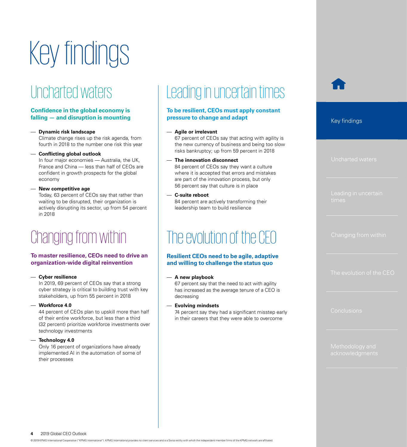## <span id="page-3-0"></span>Key findings

## Uncharted waters

#### **Confidence in the global economy is falling — and disruption is mounting**

— **Dynamic risk landscape**

Climate change rises up the risk agenda, from fourth in 2018 to the number one risk this year

— **Conflicting global outlook**

In four major economies — Australia, the UK, France and China — less than half of CEOs are confident in growth prospects for the global economy

— **New competitive age**

Today, 63 percent of CEOs say that rather than waiting to be disrupted, their organization is actively disrupting its sector, up from 54 percent in 2018

## Changing from within

#### **To master resilience, CEOs need to drive an organization-wide digital reinvention**

— **Cyber resilience**

In 2019, 69 percent of CEOs say that a strong cyber strategy is critical to building trust with key stakeholders, up from 55 percent in 2018

— **Workforce 4.0**

44 percent of CEOs plan to upskill more than half of their entire workforce, but less than a third (32 percent) prioritize workforce investments over technology investments

#### — **Technology 4.0**

Only 16 percent of organizations have already implemented AI in the automation of some of their processes

## Leading in uncertain times

#### **To be resilient, CEOs must apply constant pressure to change and adapt**

#### — **Agile or irrelevant**

67 percent of CEOs say that acting with agility is the new currency of business and being too slow risks bankruptcy; up from 59 percent in 2018

#### — **The innovation disconnect**

84 percent of CEOs say they want a culture where it is accepted that errors and mistakes are part of the innovation process, but only 56 percent say that culture is in place

— **C-suite reboot**

84 percent are actively transforming their leadership team to build resilience

## The evolution of the CEO

#### **Resilient CEOs need to be agile, adaptive and willing to challenge the status quo**

#### — **A new playbook**

67 percent say that the need to act with agility has increased as the average tenure of a CEO is decreasing

#### — **Evolving mindsets**

74 percent say they had a significant misstep early in their careers that they were able to overcome

Key findings

**4** 2019 Global CEO Outlook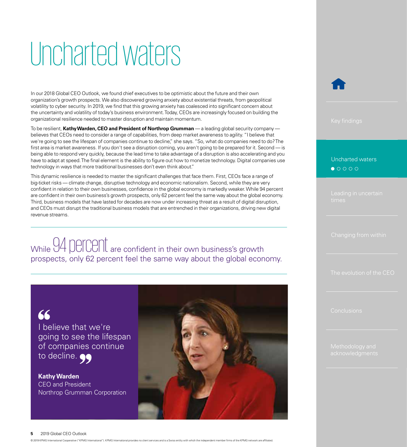## <span id="page-4-0"></span>Uncharted waters

In our 2018 Global CEO Outlook, we found chief executives to be optimistic about the future and their own organization's growth prospects. We also discovered growing anxiety about existential threats, from geopolitical volatility to cyber security. In 2019, we find that this growing anxiety has coalesced into significant concern about the uncertainty and volatility of today's business environment. Today, CEOs are increasingly focused on building the organizational resilience needed to master disruption and maintain momentum.

To be resilient, **Kathy Warden, CEO and President of Northrop Grumman** — a leading global security company believes that CEOs need to consider a range of capabilities, from deep market awareness to agility. "I believe that we're going to see the lifespan of companies continue to decline," she says. "So, what do companies need to do? The first area is market awareness. If you don't see a disruption coming, you aren't going to be prepared for it. Second — is being able to respond very quickly, because the lead time to take advantage of a disruption is also accelerating and you have to adapt at speed. The final element is the ability to figure out how to monetize technology. Digital companies use technology in ways that more traditional businesses don't even think about."

This dynamic resilience is needed to master the significant challenges that face them. First, CEOs face a range of big-ticket risks — climate change, disruptive technology and economic nationalism. Second, while they are very confident in relation to their own businesses, confidence in the global economy is markedly weaker. While 94 percent are confident in their own business's growth prospects, only 62 percent feel the same way about the global economy. Third, business models that have lasted for decades are now under increasing threat as a result of digital disruption, and CEOs must disrupt the traditional business models that are entrenched in their organizations, driving new digital revenue streams.

While 94 percent are confident in their own business's growth prospects, only 62 percent feel the same way about the global economy.

66 I believe that we're going to see the lifespan of companies continue to decline.

**Kathy Warden** CEO and President Northrop Grumman Corporation



#### Uncharted waters

**5** 2019 Global CEO Outlook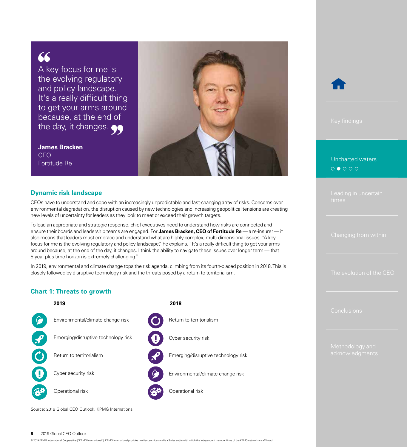### 66

A key focus for me is the evolving regulatory and policy landscape. It's a really difficult thing to get your arms around because, at the end of the day, it changes.

**James Bracken** CEO Fortitude Re



#### **Dynamic risk landscape**

CEOs have to understand and cope with an increasingly unpredictable and fast-changing array of risks. Concerns over environmental degradation, the disruption caused by new technologies and increasing geopolitical tensions are creating new levels of uncertainty for leaders as they look to meet or exceed their growth targets.

To lead an appropriate and strategic response, chief executives need to understand how risks are connected and ensure their boards and leadership teams are engaged. For **James Bracken, CEO of Fortitude Re** — a re-insurer — it also means that leaders must embrace and understand what are highly complex, multi-dimensional issues. "A key focus for me is the evolving regulatory and policy landscape," he explains. "It's a really difficult thing to get your arms around because, at the end of the day, it changes. I think the ability to navigate these issues over longer term — that 5-year plus time horizon is extremely challenging."

In 2019, environmental and climate change tops the risk agenda, climbing from its fourth-placed position in 2018. This is closely followed by disruptive technology risk and the threats posed by a return to territorialism.

#### **Chart 1: Threats to growth**



Source: 2019 Global CEO Outlook, KPMG International.



#### [Uncharted waters](#page-4-0) $O O O O O$

#### **6** 2019 Global CEO Outlook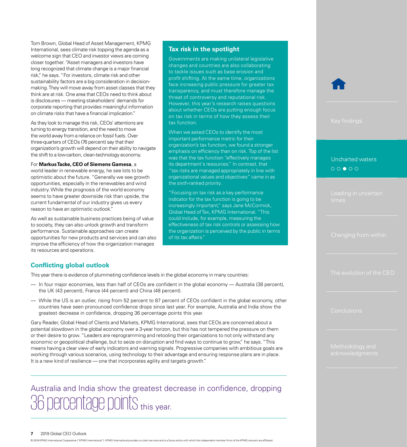Tom Brown, Global Head of Asset Management, KPMG International, sees climate risk topping the agenda as a welcome sign that CEO and investor views are coming closer together. "Asset managers and investors have long recognized that climate change is a major financial risk," he says. "For investors, climate risk and other sustainability factors are a big consideration in decisionmaking. They will move away from asset classes that they think are at risk. One area that CEOs need to think about is disclosures — meeting stakeholders' demands for corporate reporting that provides meaningful information on climate risks that have a financial implication."

As they look to manage this risk, CEOs' attentions are turning to energy transition, and the need to move the world away from a reliance on fossil fuels. Over three-quarters of CEOs (76 percent) say that their organization's growth will depend on their ability to navigate the shift to a low-carbon, clean-technology economy.

#### For **Markus Tacke, CEO of Siemens Gamesa**, a

world leader in renewable energy, he see lots to be optimistic about the future. "Generally we see growth opportunities, especially in the renewables and wind industry. While the prognosis of the world economy seems to have greater downside risk than upside, the current fundamental of our industry gives us every reason to have an optimistic outlook."

As well as sustainable business practices being of value to society, they can also unlock growth and transform performance. Sustainable approaches can create opportunities for new products and services and can also improve the efficiency of how the organization manages its resources and operations.

#### **Tax risk in the spotlight**

Governments are making unilateral legislative changes and countries are also collaborating to tackle issues such as base erosion and profit shifting. At the same time, organizations face increasing public pressure for greater tax transparency, and must therefore manage the threat of controversy and reputational risk. However, this year's research raises questions about whether CEOs are putting enough focus on tax risk in terms of how they assess their tax function.

When we asked CEOs to identify the most important performance metric for their organization's tax function, we found a stronger emphasis on efficiency than on risk. Top of the list was that the tax function "effectively manages its department's resources." In contrast, that "tax risks are managed appropriately in line with organizational values and objectives" came in as the sixth-ranked priority.

"Focusing on tax risk as a key performance indicator for the tax function is going to be increasingly important," says Jane McCormick, Global Head of Tax, KPMG International. "This could include, for example, measuring the effectiveness of tax risk controls or assessing how the organization is perceived by the public in terms of its tax affairs."

#### **Conflicting global outlook**

This year there is evidence of plummeting confidence levels in the global economy in many countries:

- In four major economies, less than half of CEOs are confident in the global economy Australia (38 percent), the UK (43 percent), France (44 percent) and China (48 percent).
- While the US is an outlier, rising from 52 percent to 87 percent of CEOs confident in the global economy, other countries have seen pronounced confidence drops since last year. For example, Australia and India show the greatest decrease in confidence, dropping 36 percentage points this year.

Gary Reader, Global Head of Clients and Markets, KPMG International, sees that CEOs are concerned about a potential slowdown in the global economy over a 3-year horizon, but this has not tempered the pressure on them or their desire to grow. "Leaders are reprogramming and retooling their organizations to not only withstand any economic or geopolitical challenge, but to seize on disruption and find ways to continue to grow," he says. "This means having a clear view of early indicators and warning signals. Progressive companies with ambitious goals are working through various scenarios, using technology to their advantage and ensuring response plans are in place. It is a new kind of resilience — one that incorporates agility and targets growth."

### Australia and India show the greatest decrease in confidence, dropping 36 percentage points this year.

#### **7** 2019 Global CEO Outlook

© 2019 KPMG International Cooperative ("KPMG International"). KPMG International provides no client services and is a Swiss entity with which the independent member firms of the KPMG network are affiliated.

#### [Uncharted waters](#page-4-0) $00000$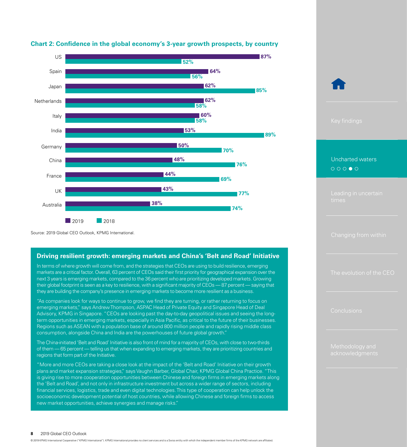

#### **Chart 2: Confidence in the global economy's 3-year growth prospects, by country**

Source: 2019 Global CEO Outlook, KPMG International.

#### **Driving resilient growth: emerging markets and China's 'Belt and Road' Initiative**

In terms of where growth will come from, and the strategies that CEOs are using to build resilience, emerging markets are a critical factor. Overall, 63 percent of CEOs said their first priority for geographical expansion over the next 3 years is emerging markets, compared to the 36 percent who are prioritizing developed markets. Growing their global footprint is seen as a key to resilience, with a significant majority of CEOs — 87 percent — saying that they are building the company's presence in emerging markets to become more resilient as a business.

"As companies look for ways to continue to grow, we find they are turning, or rather returning to focus on emerging markets," says Andrew Thompson, ASPAC Head of Private Equity and Singapore Head of Deal Advisory, KPMG in Singapore. "CEOs are looking past the day-to-day geopolitical issues and seeing the longterm opportunities in emerging markets, especially in Asia Pacific, as critical to the future of their businesses. Regions such as ASEAN with a population base of around 800 million people and rapidly rising middle class consumption, alongside China and India are the powerhouses of future global growth."

The China-initiated 'Belt and Road' Initiative is also front of mind for a majority of CEOs, with close to two-thirds of them — 65 percent — telling us that when expanding to emerging markets, they are prioritizing countries and regions that form part of the Initiative.

"More and more CEOs are taking a close look at the impact of the 'Belt and Road' Initiative on their growth plans and market expansion strategies," says Vaughn Barber, Global Chair, KPMG Global China Practice. "This is giving rise to more cooperation opportunities between Chinese and foreign firms in emerging markets along the 'Belt and Road', and not only in infrastructure investment but across a wider range of sectors, including financial services, logistics, trade and even digital technologies. This type of cooperation can help unlock the socioeconomic development potential of host countries, while allowing Chinese and foreign firms to access new market opportunities, achieve synergies and manage risks."

#### [Uncharted waters](#page-4-0) $\begin{array}{ccc}\n\circ & \circ & \circ & \circ & \circ\n\end{array}$

[The evolution of the CEO](#page-19-0)

#### **8** 2019 Global CEO Outlook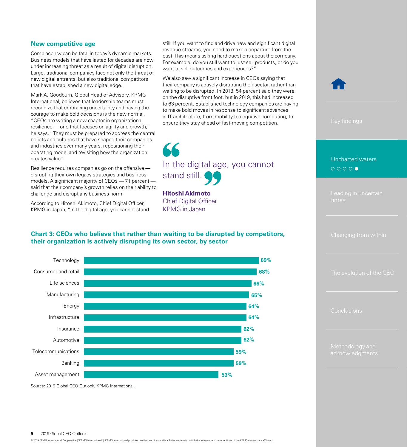#### **New competitive age**

Complacency can be fatal in today's dynamic markets. Business models that have lasted for decades are now under increasing threat as a result of digital disruption. Large, traditional companies face not only the threat of new digital entrants, but also traditional competitors that have established a new digital edge.

Mark A. Goodburn, Global Head of Advisory, KPMG International, believes that leadership teams must recognize that embracing uncertainty and having the courage to make bold decisions is the new normal. "CEOs are writing a new chapter in organizational resilience — one that focuses on agility and growth," he says. "They must be prepared to address the central beliefs and cultures that have shaped their companies and industries over many years, repositioning their operating model and revisiting how the organization creates value."

Resilience requires companies go on the offensive disrupting their own legacy strategies and business models. A significant majority of CEOs — 71 percent said that their company's growth relies on their ability to challenge and disrupt any business norm.

According to Hitoshi Akimoto, Chief Digital Officer, KPMG in Japan, "In the digital age, you cannot stand

still. If you want to find and drive new and significant digital revenue streams, you need to make a departure from the past. This means asking hard questions about the company. For example, do you still want to just sell products, or do you want to sell outcomes and experiences?"

We also saw a significant increase in CEOs saying that their company is actively disrupting their sector, rather than waiting to be disrupted. In 2018, 54 percent said they were on the disruptive front foot, but in 2019, this had increased to 63 percent. Established technology companies are having to make bold moves in response to significant advances in IT architecture, from mobility to cognitive computing, to ensure they stay ahead of fast-moving competition.



In the digital age, you cannot stand still.

**Hitoshi Akimoto** Chief Digital Officer KPMG in Japan

#### **Chart 3: CEOs who believe that rather than waiting to be disrupted by competitors, their organization is actively disrupting its own sector, by sector**



Source: 2019 Global CEO Outlook, KPMG International.

#### **9** 2019 Global CEO Outlook

© 2019 KPMG International Cooperative ("KPMG International"). KPMG International provides no client services and is a Swiss entity with which the independent member firms of the KPMG network are affiliated.



#### [Uncharted waters](#page-4-0)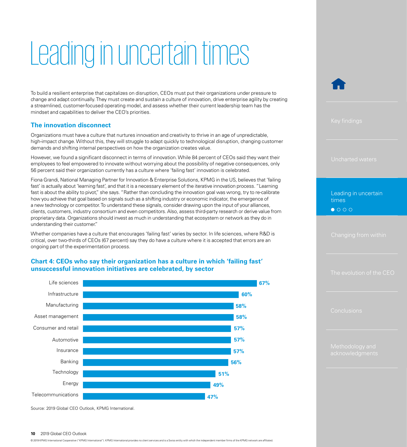## <span id="page-9-0"></span>Leading in uncertain times

To build a resilient enterprise that capitalizes on disruption, CEOs must put their organizations under pressure to change and adapt continually. They must create and sustain a culture of innovation, drive enterprise agility by creating a streamlined, customer-focused operating model, and assess whether their current leadership team has the mindset and capabilities to deliver the CEO's priorities.

#### **The innovation disconnect**

Organizations must have a culture that nurtures innovation and creativity to thrive in an age of unpredictable, high-impact change. Without this, they will struggle to adapt quickly to technological disruption, changing customer demands and shifting internal perspectives on how the organization creates value.

However, we found a significant disconnect in terms of innovation. While 84 percent of CEOs said they want their employees to feel empowered to innovate without worrying about the possibility of negative consequences, only 56 percent said their organization currently has a culture where 'failing fast' innovation is celebrated.

Fiona Grandi, National Managing Partner for Innovation & Enterprise Solutions, KPMG in the US, believes that 'failing fast' is actually about 'learning fast', and that it is a necessary element of the iterative innovation process. "Learning fast is about the ability to pivot," she says. "Rather than concluding the innovation goal was wrong, try to re-calibrate how you achieve that goal based on signals such as a shifting industry or economic indicator, the emergence of a new technology or competitor. To understand these signals, consider drawing upon the input of your alliances, clients, customers, industry consortium and even competitors. Also, assess third-party research or derive value from proprietary data. Organizations should invest as much in understanding that ecosystem or network as they do in understanding their customer."

Whether companies have a culture that encourages 'failing fast' varies by sector. In life sciences, where R&D is critical, over two-thirds of CEOs (67 percent) say they do have a culture where it is accepted that errors are an ongoing part of the experimentation process.

#### **Chart 4: CEOs who say their organization has a culture in which 'failing fast' unsuccessful innovation initiatives are celebrated, by sector**



Source: 2019 Global CEO Outlook, KPMG International.

#### **10** 2019 Global CEO Outlook

© 2019 KPMG International Cooperative ("KPMG International"). KPMG International provides no client services and is a Swiss entity with which the independent member firms of the KPMG network are affiliated.

Leading in uncertain times

 $\bullet$  000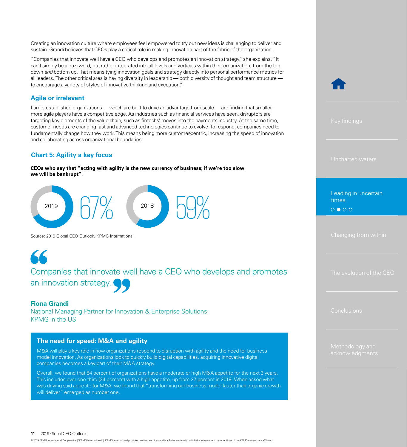Creating an innovation culture where employees feel empowered to try out new ideas is challenging to deliver and sustain. Grandi believes that CEOs play a critical role in making innovation part of the fabric of the organization.

"Companies that innovate well have a CEO who develops and promotes an innovation strategy," she explains. "It can't simply be a buzzword, but rather integrated into all levels and verticals within their organization, from the top down *and* bottom up. That means tying innovation goals and strategy directly into personal performance metrics for all leaders. The other critical area is having diversity in leadership — both diversity of thought and team structure to encourage a variety of styles of innovative thinking and execution."

#### **Agile or irrelevant**

Large, established organizations — which are built to drive an advantage from scale — are finding that smaller, more agile players have a competitive edge. As industries such as financial services have seen, disruptors are targeting key elements of the value chain, such as fintechs' moves into the payments industry. At the same time, customer needs are changing fast and advanced technologies continue to evolve. To respond, companies need to fundamentally change how they work. This means being more customer-centric, increasing the speed of innovation and collaborating across organizational boundaries.

#### **Chart 5: Agility a key focus**

**CEOs who say that "acting with agility is the new currency of business; if we're too slow we will be bankrupt".**



Source: 2019 Global CEO Outlook, KPMG International.

Companies that innovate well have a CEO who develops and promotes an innovation strategy.

#### **Fiona Grandi**

66

National Managing Partner for Innovation & Enterprise Solutions KPMG in the US

#### **The need for speed: M&A and agility**

M&A will play a key role in how organizations respond to disruption with agility and the need for business model innovation. As organizations look to quickly build digital capabilities, acquiring innovative digital companies becomes a key part of their M&A strategy.

Overall, we found that 84 percent of organizations have a moderate or high M&A appetite for the next 3 years. This includes over one-third (34 percent) with a high appetite, up from 27 percent in 2018. When asked what was driving said appetite for M&A, we found that "transforming our business model faster than organic growth will deliver" emerged as number one.

[Leading in uncertain](#page-9-0)  times

 $0 0 0 0$ 

[The evolution of the CEO](#page-19-0)

**11** 2019 Global CEO Outlook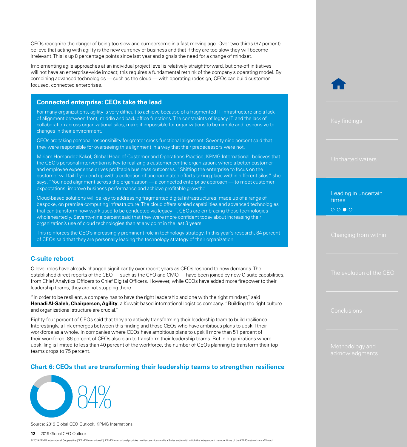CEOs recognize the danger of being too slow and cumbersome in a fast-moving age. Over two-thirds (67 percent) believe that acting with agility is the new currency of business and that if they are too slow they will become irrelevant. This is up 8 percentage points since last year and signals the need for a change of mindset.

Implementing agile approaches at an individual project level is relatively straightforward, but one-off initiatives will not have an enterprise-wide impact; this requires a fundamental rethink of the company's operating model. By combining advanced technologies — such as the cloud — with operating redesign, CEOs can build customerfocused, connected enterprises.

#### **Connected enterprise: CEOs take the lead**

For many organizations, agility is very difficult to achieve because of a fragmented IT infrastructure and a lack of alignment between front, middle and back office functions. The constraints of legacy IT, and the lack of collaboration across organizational silos, make it impossible for organizations to be nimble and responsive to changes in their environment.

CEOs are taking personal responsibility for greater cross-functional alignment. Seventy-nine percent said that they were responsible for overseeing this alignment in a way that their predecessors were not.

Miriam Hernandez-Kakol, Global Head of Customer and Operations Practice, KPMG International, believes that the CEO's personal intervention is key to realizing a customer-centric organization, where a better customer and employee experience drives profitable business outcomes. "Shifting the enterprise to focus on the customer will fail if you end up with a collection of uncoordinated efforts taking place within different silos," she says. "You need alignment across the organization — a connected enterprise approach — to meet customer expectations, improve business performance and achieve profitable growth."

Cloud-based solutions will be key to addressing fragmented digital infrastructures, made up of a range of bespoke, on premise computing infrastructure. The cloud offers scaled capabilities and advanced technologies that can transform how work used to be conducted via legacy IT. CEOs are embracing these technologies wholeheartedly. Seventy-nine percent said that they were more confident today about increasing their organization's use of cloud technologies than at any point in the last 3 years.

This reinforces the CEO's increasingly prominent role in technology strategy. In this year's research, 84 percent of CEOs said that they are personally leading the technology strategy of their organization.

#### **C-suite reboot**

C-level roles have already changed significantly over recent years as CEOs respond to new demands. The established direct reports of the CEO — such as the CFO and CMO — have been joined by new C-suite capabilities, from Chief Analytics Officers to Chief Digital Officers. However, while CEOs have added more firepower to their leadership teams, they are not stopping there.

"In order to be resilient, a company has to have the right leadership and one with the right mindset," said **Henadi Al-Saleh, Chairperson, Agility**, a Kuwait-based international logistics company. "Building the right culture and organizational structure are crucial."

Eighty-four percent of CEOs said that they are actively transforming their leadership team to build resilience. Interestingly, a link emerges between this finding and those CEOs who have ambitious plans to upskill their workforce as a whole. In companies where CEOs have ambitious plans to upskill more than 51 percent of their workforce, 86 percent of CEOs also plan to transform their leadership teams. But in organizations where upskilling is limited to less than 40 percent of the workforce, the number of CEOs planning to transform their top teams drops to 75 percent.

#### **Chart 6: CEOs that are transforming their leadership teams to strengthen resilience**



Source: 2019 Global CEO Outlook, KPMG International.

#### **12** 2019 Global CEO Outlook

© 2019 KPMG International Cooperative ("KPMG International"). KPMG International provides no client services and is a Swiss entity with which the independent member firms of the KPMG network are affiliated.



[Leading in uncertain](#page-9-0)  times $0000$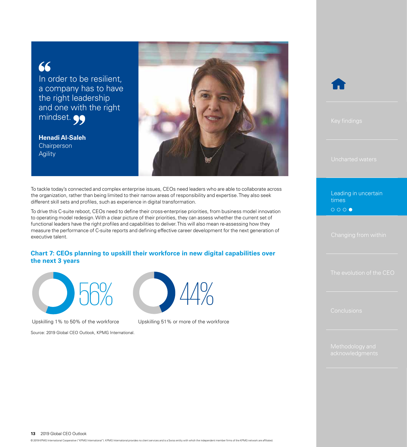### 66

In order to be resilient, a company has to have the right leadership and one with the right mindset.  $\bullet \bullet$ 

**Henadi Al-Saleh Chairperson** Agility



To tackle today's connected and complex enterprise issues, CEOs need leaders who are able to collaborate across the organization, rather than being limited to their narrow areas of responsibility and expertise. They also seek different skill sets and profiles, such as experience in digital transformation.

To drive this C-suite reboot, CEOs need to define their cross-enterprise priorities, from business model innovation to operating model redesign. With a clear picture of their priorities, they can assess whether the current set of functional leaders have the right profiles and capabilities to deliver. This will also mean re-assessing how they measure the performance of C-suite reports and defining effective career development for the next generation of executive talent.

#### **Chart 7: CEOs planning to upskill their workforce in new digital capabilities over the next 3 years**



Upskilling 1% to 50% of the workforce Upskilling 51% or more of the workforce

Source: 2019 Global CEO Outlook, KPMG International.





[Leading in uncertain](#page-9-0)  times $0000$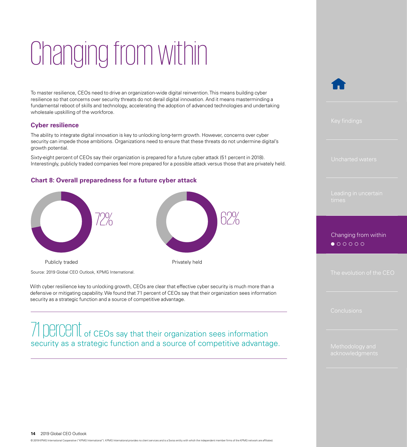## <span id="page-13-0"></span>Changing from within

To master resilience, CEOs need to drive an organization-wide digital reinvention. This means building cyber resilience so that concerns over security threats do not derail digital innovation. And it means masterminding a fundamental reboot of skills and technology, accelerating the adoption of advanced technologies and undertaking wholesale upskilling of the workforce.

#### **Cyber resilience**

The ability to integrate digital innovation is key to unlocking long-term growth. However, concerns over cyber security can impede those ambitions. Organizations need to ensure that these threats do not undermine digital's growth potential.

Sixty-eight percent of CEOs say their organization is prepared for a future cyber attack (51 percent in 2018). Interestingly, publicly traded companies feel more prepared for a possible attack versus those that are privately held.

#### **Chart 8: Overall preparedness for a future cyber attack**



Source: 2019 Global CEO Outlook, KPMG International.

With cyber resilience key to unlocking growth, CEOs are clear that effective cyber security is much more than a defensive or mitigating capability. We found that 71 percent of CEOs say that their organization sees information security as a strategic function and a source of competitive advantage.

### 71 DEICENT of CEOs say that their organization sees information security as a strategic function and a source of competitive advantage.



#### Changing from within $\bullet \circ \circ \circ \circ \circ \circ$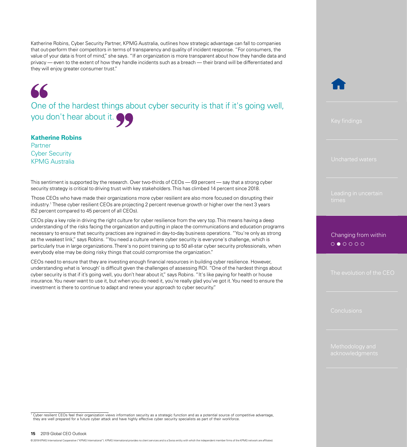Katherine Robins, Cyber Security Partner, KPMG Australia, outlines how strategic advantage can fall to companies that out-perform their competitors in terms of transparency and quality of incident response. "For consumers, the value of your data is front of mind," she says. "If an organization is more transparent about how they handle data and privacy — even to the extent of how they handle incidents such as a breach — their brand will be differentiated and they will enjoy greater consumer trust."

One of the hardest things about cyber security is that if it's going well, you don't hear about it.

#### **Katherine Robins**

66

Partner Cyber Security KPMG Australia

This sentiment is supported by the research. Over two-thirds of CEOs — 69 percent — say that a strong cyber security strategy is critical to driving trust with key stakeholders. This has climbed 14 percent since 2018.

 Those CEOs who have made their organizations more cyber resilient are also more focused on disrupting their industry.1 These cyber resilient CEOs are projecting 2 percent revenue growth or higher over the next 3 years (52 percent compared to 45 percent of all CEOs).

CEOs play a key role in driving the right culture for cyber resilience from the very top. This means having a deep understanding of the risks facing the organization and putting in place the communications and education programs necessary to ensure that security practices are ingrained in day-to-day business operations. "You're only as strong as the weakest link," says Robins. "You need a culture where cyber security is everyone's challenge, which is particularly true in large organizations. There's no point training up to 50 all-star cyber security professionals, when everybody else may be doing risky things that could compromise the organization."

CEOs need to ensure that they are investing enough financial resources in building cyber resilience. However, understanding what is 'enough' is difficult given the challenges of assessing ROI. "One of the hardest things about cyber security is that if it's going well, you don't hear about it," says Robins. "It's like paying for health or house insurance. You never want to use it, but when you do need it, you're really glad you've got it. You need to ensure the investment is there to continue to adapt and renew your approach to cyber security."

[Changing from within](#page-13-0) $0 0 0 0 0 0$ 

<sup>1</sup> Cyber resilient CEOs feel their organization views information security as a strategic function and as a potential source of competitive advantage, they are well prepared for a future cyber attack and have highly effective cyber security specialists as part of their workforce.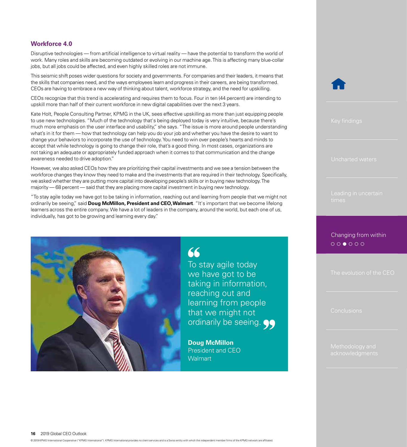#### **Workforce 4.0**

Disruptive technologies — from artificial intelligence to virtual reality — have the potential to transform the world of work. Many roles and skills are becoming outdated or evolving in our machine age. This is affecting many blue-collar jobs, but all jobs could be affected, and even highly skilled roles are not immune.

This seismic shift poses wider questions for society and governments. For companies and their leaders, it means that the skills that companies need, and the ways employees learn and progress in their careers, are being transformed. CEOs are having to embrace a new way of thinking about talent, workforce strategy, and the need for upskilling.

CEOs recognize that this trend is accelerating and requires them to focus. Four in ten (44 percent) are intending to upskill more than half of their current workforce in new digital capabilities over the next 3 years.

Kate Holt, People Consulting Partner, KPMG in the UK, sees effective upskilling as more than just equipping people to use new technologies. "Much of the technology that's being deployed today is very intuitive, because there's much more emphasis on the user interface and usability," she says. "The issue is more around people understanding what's in it for them — how that technology can help you do your job and whether you have the desire to want to change your behaviors to incorporate the use of technology. You need to win over people's hearts and minds to accept that while technology is going to change their role, that's a good thing. In most cases, organizations are not taking an adequate or appropriately funded approach when it comes to that communication and the change awareness needed to drive adoption."

However, we also asked CEOs how they are prioritizing their capital investments and we see a tension between the workforce changes they know they need to make and the investments that are required in their technology. Specifically, we asked whether they are putting more capital into developing people's skills or in buying new technology. The majority — 68 percent — said that they are placing more capital investment in buying new technology.

"To stay agile today we have got to be taking in information, reaching out and learning from people that we might not ordinarily be seeing," said **Doug McMillon, President and CEO, Walmart**. "It's important that we become lifelong learners across the entire company. We have a lot of leaders in the company, around the world, but each one of us, individually, has got to be growing and learning every day."



**Doug McMillon** President and CEO **Walmart** 

[Changing from within](#page-13-0) $\circ \circ \bullet \circ \circ \circ$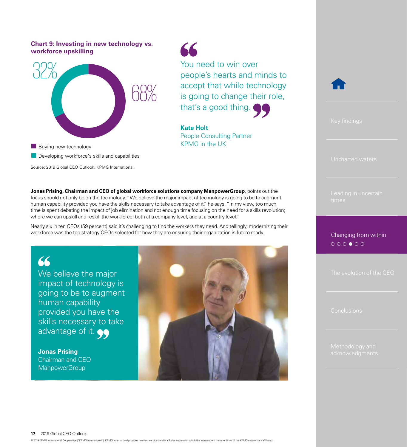#### **Chart 9: Investing in new technology vs. workforce upskilling**



KPMG in the UK **Developing workforce's skills and capabilities** Source: 2019 Global CEO Outlook, KPMG International. **Jonas Prising, Chairman and CEO of global workforce solutions company ManpowerGroup**, points out the

focus should not only be on the technology. "We believe the major impact of technology is going to be to augment human capability provided you have the skills necessary to take advantage of it," he says. "In my view, too much time is spent debating the impact of job elimination and not enough time focusing on the need for a skills revolution; where we can upskill and reskill the workforce, both at a company level, and at a country level."

Nearly six in ten CEOs (59 percent) said it's challenging to find the workers they need. And tellingly, modernizing their workforce was the top strategy CEOs selected for how they are ensuring their organization is future ready.

### 66

We believe the major impact of technology is going to be to augment human capability provided you have the skills necessary to take advantage of it.  $\bullet \bullet$ 

**Jonas Prising** Chairman and CEO **ManpowerGroup** 



You need to win over

that's a good thing.

People Consulting Partner

**Kate Holt**

66

people's hearts and minds to

accept that while technology

is going to change their role,



[Changing from within](#page-13-0) $\circ \circ \circ \bullet \circ \circ$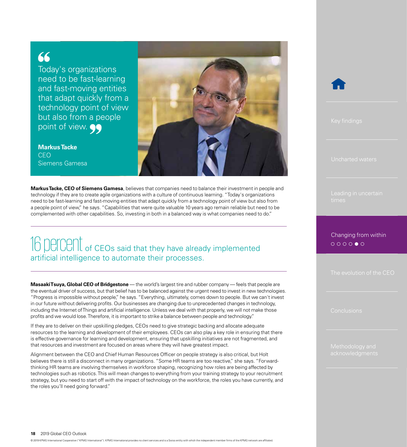### 66

Today's organizations need to be fast-learning and fast-moving entities that adapt quickly from a technology point of view but also from a people point of view.  $\bullet \bullet$ 

**Markus Tacke** CEO Siemens Gamesa



**Markus Tacke, CEO of Siemens Gamesa**, believes that companies need to balance their investment in people and technology if they are to create agile organizations with a culture of continuous learning. "Today's organizations need to be fast-learning and fast-moving entities that adapt quickly from a technology point of view but also from a people point of view," he says. "Capabilities that were quite valuable 10 years ago remain reliable but need to be complemented with other capabilities. So, investing in both in a balanced way is what companies need to do."

### 16 DEICENt of CEOs said that they have already implemented artificial intelligence to automate their processes.

**Masaaki Tsuya, Global CEO of Bridgestone** — the world's largest tire and rubber company — feels that people are the eventual driver of success, but that belief has to be balanced against the urgent need to invest in new technologies. "Progress is impossible without people," he says. "Everything, ultimately, comes down to people. But we can't invest in our future without delivering profits. Our businesses are changing due to unprecedented changes in technology, including the Internet of Things and artificial intelligence. Unless we deal with that properly, we will not make those profits and we would lose. Therefore, it is important to strike a balance between people and technology."

If they are to deliver on their upskilling pledges, CEOs need to give strategic backing and allocate adequate resources to the learning and development of their employees. CEOs can also play a key role in ensuring that there is effective governance for learning and development, ensuring that upskilling initiatives are not fragmented, and that resources and investment are focused on areas where they will have greatest impact.

Alignment between the CEO and Chief Human Resources Officer on people strategy is also critical, but Holt believes there is still a disconnect in many organizations. "Some HR teams are too reactive," she says. "Forwardthinking HR teams are involving themselves in workforce shaping, recognizing how roles are being affected by technologies such as robotics. This will mean changes to everything from your training strategy to your recruitment strategy, but you need to start off with the impact of technology on the workforce, the roles you have currently, and the roles you'll need going forward."



[Changing from within](#page-13-0) $\circ\circ\circ\circ\bullet\circ$ 

**18** 2019 Global CEO Outlook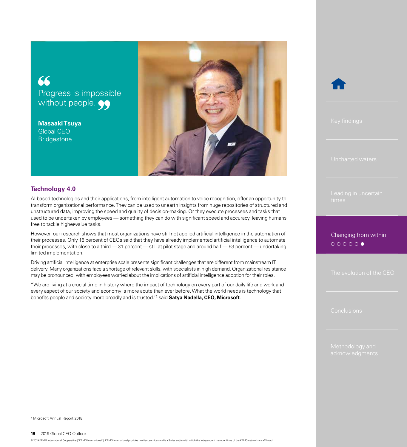### 66 Progress is impossible without people.

**Masaaki Tsuya** Global CEO **Bridgestone** 



#### **Technology 4.0**

AI-based technologies and their applications, from intelligent automation to voice recognition, offer an opportunity to transform organizational performance. They can be used to unearth insights from huge repositories of structured and unstructured data, improving the speed and quality of decision-making. Or they execute processes and tasks that used to be undertaken by employees — something they can do with significant speed and accuracy, leaving humans free to tackle higher-value tasks.

However, our research shows that most organizations have still not applied artificial intelligence in the automation of their processes. Only 16 percent of CEOs said that they have already implemented artificial intelligence to automate their processes, with close to a third  $-31$  percent  $-$  still at pilot stage and around half  $-53$  percent  $-$  undertaking limited implementation.

Driving artificial intelligence at enterprise scale presents significant challenges that are different from mainstream IT delivery. Many organizations face a shortage of relevant skills, with specialists in high demand. Organizational resistance may be pronounced, with employees worried about the implications of artificial intelligence adoption for their roles.

"We are living at a crucial time in history where the impact of technology on every part of our daily life and work and every aspect of our society and economy is more acute than ever before. What the world needs is technology that benefits people and society more broadly and is trusted."2 said **Satya Nadella, CEO, Microsoft**.



[Changing from within](#page-13-0) $\circ\circ\circ\circ\circ\bullet$ 

<sup>2</sup> Microsoft Annual Report 2018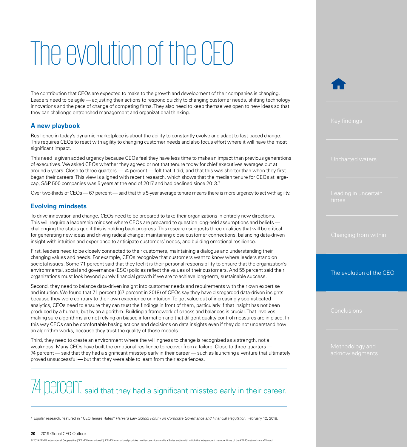## <span id="page-19-0"></span>The evolution of the CEO

The contribution that CEOs are expected to make to the growth and development of their companies is changing. Leaders need to be agile — adjusting their actions to respond quickly to changing customer needs, shifting technology innovations and the pace of change of competing firms. They also need to keep themselves open to new ideas so that they can challenge entrenched management and organizational thinking.

#### **A new playbook**

Resilience in today's dynamic marketplace is about the ability to constantly evolve and adapt to fast-paced change. This requires CEOs to react with agility to changing customer needs and also focus effort where it will have the most significant impact.

This need is given added urgency because CEOs feel they have less time to make an impact than previous generations of executives. We asked CEOs whether they agreed or not that tenure today for chief executives averages out at around 5 years. Close to three-quarters — 74 percent — felt that it did, and that this was shorter than when they first began their careers. This view is aligned with recent research, which shows that the median tenure for CEOs at largecap, S&P 500 companies was 5 years at the end of 2017 and had declined since 2013.3

Over two-thirds of CEOs — 67 percent — said that this 5-year average tenure means there is more urgency to act with agility.

#### **Evolving mindsets**

To drive innovation and change, CEOs need to be prepared to take their organizations in entirely new directions. This will require a leadership mindset where CEOs are prepared to question long-held assumptions and beliefs challenging the status quo if this is holding back progress. This research suggests three qualities that will be critical for generating new ideas and driving radical change: maintaining close customer connections, balancing data-driven insight with intuition and experience to anticipate customers' needs, and building emotional resilience.

First, leaders need to be closely connected to their customers, maintaining a dialogue and understanding their changing values and needs. For example, CEOs recognize that customers want to know where leaders stand on societal issues. Some 71 percent said that they feel it is their personal responsibility to ensure that the organization's environmental, social and governance (ESG) policies reflect the values of their customers. And 55 percent said their organizations must look beyond purely financial growth if we are to achieve long-term, sustainable success.

Second, they need to balance data-driven insight into customer needs and requirements with their own expertise and intuition. We found that 71 percent (67 percent in 2018) of CEOs say they have disregarded data-driven insights because they were contrary to their own experience or intuition. To get value out of increasingly sophisticated analytics, CEOs need to ensure they can trust the findings in front of them, particularly if that insight has not been produced by a human, but by an algorithm. Building a framework of checks and balances is crucial. That involves making sure algorithms are not relying on biased information and that diligent quality control measures are in place. In this way CEOs can be comfortable basing actions and decisions on data insights even if they do not understand how an algorithm works, because they trust the quality of those models.

Third, they need to create an environment where the willingness to change is recognized as a strength, not a weakness. Many CEOs have built the emotional resilience to recover from a failure. Close to three-quarters — 74 percent — said that they had a significant misstep early in their career — such as launching a venture that ultimately proved unsuccessful — but that they were able to learn from their experiences.

## 74 percent said that they had a significant misstep early in their career.

<sup>3</sup> Equilar research, featured in "CEO Tenure Rates", *Harvard Law School Forum on Corporate Governance and Financial Regulation*, February 12, 2018.

#### **20** 2019 Global CEO Outlook

© 2019 KPMG International Cooperative ("KPMG International"). KPMG International provides no client services and is a Swiss entity with which the independent member firms of the KPMG network are affiliated.

The evolution of the CEO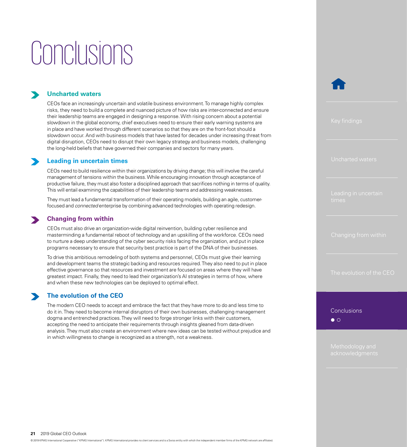## <span id="page-20-0"></span>Conclusions

#### **Uncharted waters**

CEOs face an increasingly uncertain and volatile business environment. To manage highly complex risks, they need to build a complete and nuanced picture of how risks are inter-connected and ensure their leadership teams are engaged in designing a response. With rising concern about a potential slowdown in the global economy, chief executives need to ensure their early warning systems are in place and have worked through different scenarios so that they are on the front-foot should a slowdown occur. And with business models that have lasted for decades under increasing threat from digital disruption, CEOs need to disrupt their own legacy strategy and business models, challenging the long-held beliefs that have governed their companies and sectors for many years.

#### **Leading in uncertain times**

CEOs need to build resilience within their organizations by driving change; this will involve the careful management of tensions within the business. While encouraging innovation through acceptance of productive failure, they must also foster a disciplined approach that sacrifices nothing in terms of quality. This will entail examining the capabilities of their leadership teams and addressing weaknesses.

They must lead a fundamental transformation of their operating models, building an agile, customerfocused and *connected* enterprise by combining advanced technologies with operating redesign.

#### **Changing from within**

CEOs must also drive an organization-wide digital reinvention, building cyber resilience and masterminding a fundamental reboot of technology and an upskilling of the workforce. CEOs need to nurture a deep understanding of the cyber security risks facing the organization, and put in place programs necessary to ensure that security best practice is part of the DNA of their businesses.

To drive this ambitious remodeling of both systems and personnel, CEOs must give their learning and development teams the strategic backing and resources required. They also need to put in place effective governance so that resources and investment are focused on areas where they will have greatest impact. Finally, they need to lead their organization's AI strategies in terms of how, where and when these new technologies can be deployed to optimal effect.

#### **The evolution of the CEO**

The modern CEO needs to accept and embrace the fact that they have more to do and less time to do it in. They need to become internal disruptors of their own businesses, challenging management dogma and entrenched practices. They will need to forge stronger links with their customers, accepting the need to anticipate their requirements through insights gleaned from data-driven analysis. They must also create an environment where new ideas can be tested without prejudice and in which willingness to change is recognized as a strength, not a weakness.

[The evolution of the CEO](#page-19-0)

**Conclusions**  $\bullet$   $\circ$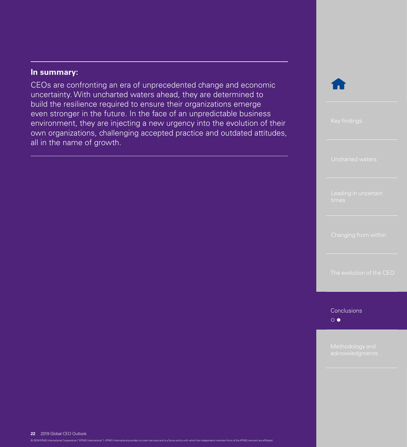#### **In summary:**

CEOs are confronting an era of unprecedented change and economic uncertainty. With uncharted waters ahead, they are determined to build the resilience required to ensure their organizations emerge even stronger in the future. In the face of an unpredictable business environment, they are injecting a new urgency into the evolution of their own organizations, challenging accepted practice and outdated attitudes, all in the name of growth.



**[Conclusions](#page-20-0)**  $\circ$ 

#### **22** 2019 Global CEO Outlook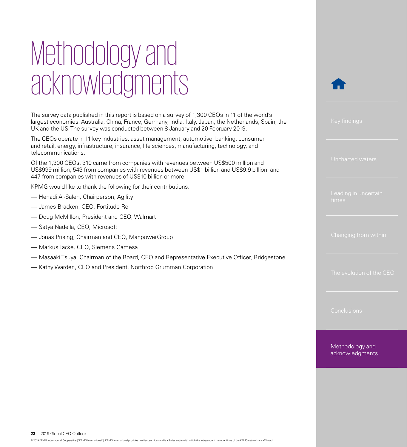## <span id="page-22-0"></span>Methodology and acknowledgments

The survey data published in this report is based on a survey of 1,300 CEOs in 11 of the world's largest economies: Australia, China, France, Germany, India, Italy, Japan, the Netherlands, Spain, the UK and the US. The survey was conducted between 8 January and 20 February 2019.

The CEOs operate in 11 key industries: asset management, automotive, banking, consumer and retail, energy, infrastructure, insurance, life sciences, manufacturing, technology, and telecommunications.

Of the 1,300 CEOs, 310 came from companies with revenues between US\$500 million and US\$999 million; 543 from companies with revenues between US\$1 billion and US\$9.9 billion; and 447 from companies with revenues of US\$10 billion or more.

KPMG would like to thank the following for their contributions:

- Henadi Al-Saleh, Chairperson, Agility
- James Bracken, CEO, Fortitude Re
- Doug McMillon, President and CEO, Walmart
- Satya Nadella, CEO, Microsoft
- Jonas Prising, Chairman and CEO, ManpowerGroup
- Markus Tacke, CEO, Siemens Gamesa
- Masaaki Tsuya, Chairman of the Board, CEO and Representative Executive Officer, Bridgestone
- Kathy Warden, CEO and President, Northrop Grumman Corporation



[The evolution of the CEO](#page-19-0)

Methodology and acknowledgments